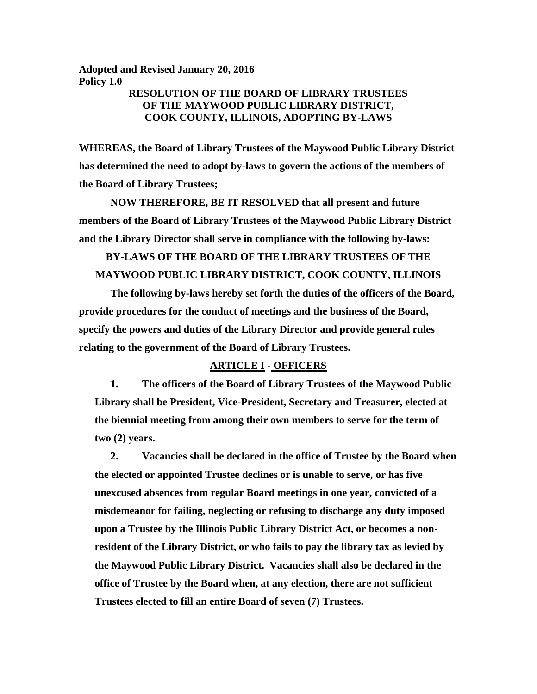**Adopted and Revised January 20, 2016 Policy 1.0**

# **RESOLUTION OF THE BOARD OF LIBRARY TRUSTEES OF THE MAYWOOD PUBLIC LIBRARY DISTRICT, COOK COUNTY, ILLINOIS, ADOPTING BY-LAWS**

**WHEREAS, the Board of Library Trustees of the Maywood Public Library District has determined the need to adopt by-laws to govern the actions of the members of the Board of Library Trustees;**

**NOW THEREFORE, BE IT RESOLVED that all present and future members of the Board of Library Trustees of the Maywood Public Library District and the Library Director shall serve in compliance with the following by-laws:**

# **BY-LAWS OF THE BOARD OF THE LIBRARY TRUSTEES OF THE MAYWOOD PUBLIC LIBRARY DISTRICT, COOK COUNTY, ILLINOIS**

**The following by-laws hereby set forth the duties of the officers of the Board, provide procedures for the conduct of meetings and the business of the Board, specify the powers and duties of the Library Director and provide general rules relating to the government of the Board of Library Trustees.**

## **ARTICLE I - OFFICERS**

**1. The officers of the Board of Library Trustees of the Maywood Public Library shall be President, Vice-President, Secretary and Treasurer, elected at the biennial meeting from among their own members to serve for the term of two (2) years.** 

**2. Vacancies shall be declared in the office of Trustee by the Board when the elected or appointed Trustee declines or is unable to serve, or has five unexcused absences from regular Board meetings in one year, convicted of a misdemeanor for failing, neglecting or refusing to discharge any duty imposed upon a Trustee by the Illinois Public Library District Act, or becomes a nonresident of the Library District, or who fails to pay the library tax as levied by the Maywood Public Library District. Vacancies shall also be declared in the office of Trustee by the Board when, at any election, there are not sufficient Trustees elected to fill an entire Board of seven (7) Trustees.**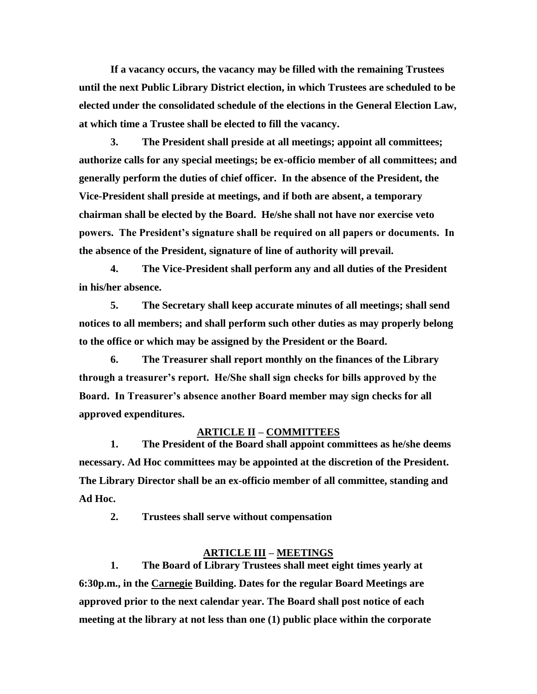**If a vacancy occurs, the vacancy may be filled with the remaining Trustees until the next Public Library District election, in which Trustees are scheduled to be elected under the consolidated schedule of the elections in the General Election Law, at which time a Trustee shall be elected to fill the vacancy.** 

**3. The President shall preside at all meetings; appoint all committees; authorize calls for any special meetings; be ex-officio member of all committees; and generally perform the duties of chief officer. In the absence of the President, the Vice-President shall preside at meetings, and if both are absent, a temporary chairman shall be elected by the Board. He/she shall not have nor exercise veto powers. The President's signature shall be required on all papers or documents. In the absence of the President, signature of line of authority will prevail.**

**4. The Vice-President shall perform any and all duties of the President in his/her absence.**

**5. The Secretary shall keep accurate minutes of all meetings; shall send notices to all members; and shall perform such other duties as may properly belong to the office or which may be assigned by the President or the Board.**

**6. The Treasurer shall report monthly on the finances of the Library through a treasurer's report. He/She shall sign checks for bills approved by the Board. In Treasurer's absence another Board member may sign checks for all approved expenditures.**

## **ARTICLE II – COMMITTEES**

**1. The President of the Board shall appoint committees as he/she deems necessary. Ad Hoc committees may be appointed at the discretion of the President. The Library Director shall be an ex-officio member of all committee, standing and Ad Hoc.** 

**2. Trustees shall serve without compensation**

#### **ARTICLE III – MEETINGS**

**1. The Board of Library Trustees shall meet eight times yearly at 6:30p.m., in the Carnegie Building. Dates for the regular Board Meetings are approved prior to the next calendar year. The Board shall post notice of each meeting at the library at not less than one (1) public place within the corporate**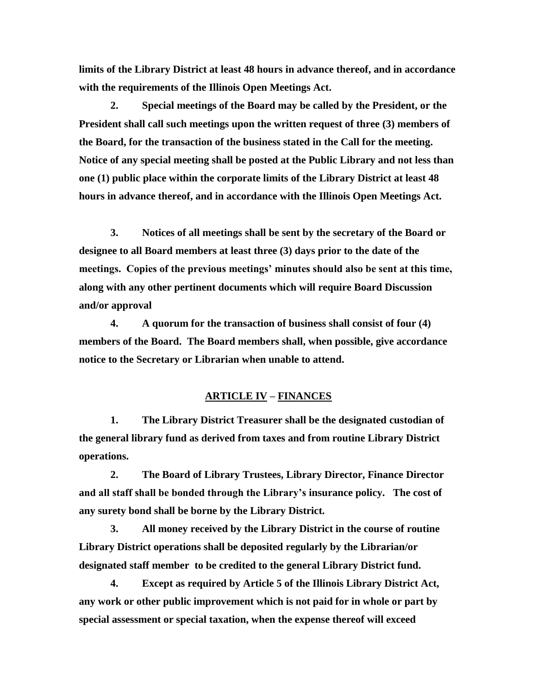**limits of the Library District at least 48 hours in advance thereof, and in accordance with the requirements of the Illinois Open Meetings Act.**

**2. Special meetings of the Board may be called by the President, or the President shall call such meetings upon the written request of three (3) members of the Board, for the transaction of the business stated in the Call for the meeting. Notice of any special meeting shall be posted at the Public Library and not less than one (1) public place within the corporate limits of the Library District at least 48 hours in advance thereof, and in accordance with the Illinois Open Meetings Act.**

**3. Notices of all meetings shall be sent by the secretary of the Board or designee to all Board members at least three (3) days prior to the date of the meetings. Copies of the previous meetings' minutes should also be sent at this time, along with any other pertinent documents which will require Board Discussion and/or approval** 

**4. A quorum for the transaction of business shall consist of four (4) members of the Board. The Board members shall, when possible, give accordance notice to the Secretary or Librarian when unable to attend.**

## **ARTICLE IV – FINANCES**

**1. The Library District Treasurer shall be the designated custodian of the general library fund as derived from taxes and from routine Library District operations.**

**2. The Board of Library Trustees, Library Director, Finance Director and all staff shall be bonded through the Library's insurance policy. The cost of any surety bond shall be borne by the Library District.**

**3. All money received by the Library District in the course of routine Library District operations shall be deposited regularly by the Librarian/or designated staff member to be credited to the general Library District fund.** 

**4. Except as required by Article 5 of the Illinois Library District Act, any work or other public improvement which is not paid for in whole or part by special assessment or special taxation, when the expense thereof will exceed**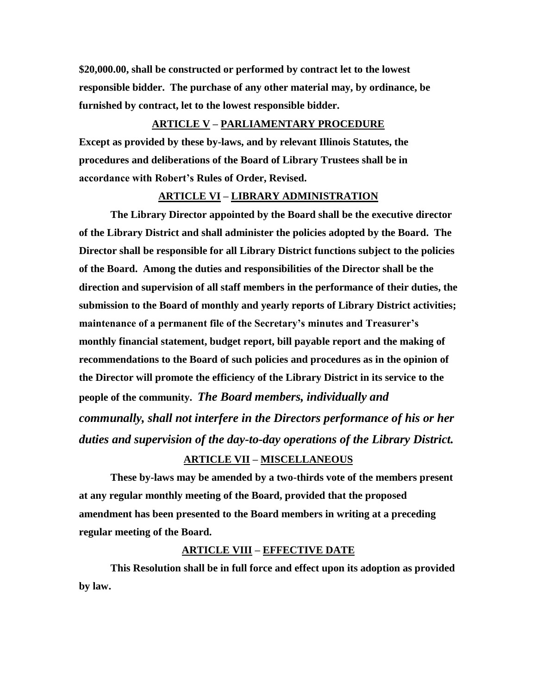**\$20,000.00, shall be constructed or performed by contract let to the lowest responsible bidder. The purchase of any other material may, by ordinance, be furnished by contract, let to the lowest responsible bidder.**

#### **ARTICLE V – PARLIAMENTARY PROCEDURE**

**Except as provided by these by-laws, and by relevant Illinois Statutes, the procedures and deliberations of the Board of Library Trustees shall be in accordance with Robert's Rules of Order, Revised.**

#### **ARTICLE VI – LIBRARY ADMINISTRATION**

**The Library Director appointed by the Board shall be the executive director of the Library District and shall administer the policies adopted by the Board. The Director shall be responsible for all Library District functions subject to the policies of the Board. Among the duties and responsibilities of the Director shall be the direction and supervision of all staff members in the performance of their duties, the submission to the Board of monthly and yearly reports of Library District activities; maintenance of a permanent file of the Secretary's minutes and Treasurer's monthly financial statement, budget report, bill payable report and the making of recommendations to the Board of such policies and procedures as in the opinion of the Director will promote the efficiency of the Library District in its service to the people of the community.** *The Board members, individually and communally, shall not interfere in the Directors performance of his or her duties and supervision of the day-to-day operations of the Library District.*

### **ARTICLE VII – MISCELLANEOUS**

**These by-laws may be amended by a two-thirds vote of the members present at any regular monthly meeting of the Board, provided that the proposed amendment has been presented to the Board members in writing at a preceding regular meeting of the Board.**

#### **ARTICLE VIII – EFFECTIVE DATE**

**This Resolution shall be in full force and effect upon its adoption as provided by law.**